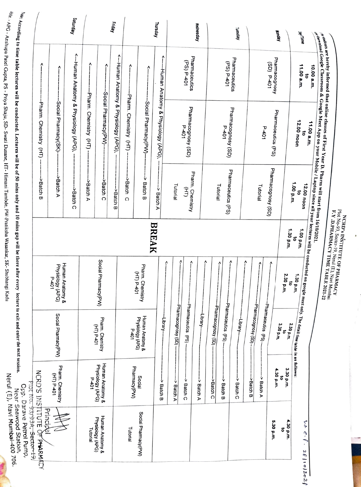<sup>dh</sup>ir: APG - Anshupa Patel Gupta, PS - Priya Shaju, SD- Swati Dusane, HT- Himani Tambde, PW-Pratiksha Wasankar, SK- Shubhangi Kadu ru - Anshupa Patel Gupta, PS Priya Shaju, SD- Swati Dusane, H1-Himani Tambde, PW-Pratiksha Wasankar, SK- Shubhangi Kadu

Ording to time table lectures will be conducted. Lectures will be of 50 mins only and 10 mins gap will be there after every lecture to exit and enter the next session. <sup>ug</sup> vo ume table lectures will be conducted. Lectures will be of 50 mins only and 10 mins gap will be there affect extragation carrangement use of the conducted. Lectures will be conducted. Lectures will be on the second j .<br>Nerul (E), Navi Mumbai-400 706.<br>Nerul (E), Navi Mumbai-400 706. Nerul (E), Navi Mumbai-400 706. Cpp. Darave Petrol Pump, Near Seawood Station,

魔

| we are hereby informed that online classes of First Year D. Pharm will start from $16/10/2021$ .<br>$\frac{1}{2}$ and $\frac{1}{2}$ Google Classroom & Google Meet App on your Mobile / I anton since 16/10/2021.<br>Pharmaceutics (PS)<br>$P = 401$<br>Phamacognosy (SD)<br>1.00 p.m.<br>Tutorial<br>1.30 p.m. | ۸<br>۸<br>٨<br>2.30 p.m.<br>$\vec{\sigma}$                                                                                                      | -bharmacognosy (SD)<br>-Phamaceutics (PS).<br>3.30 p.m.<br>2.30 p.m.                                            | <i>r</i> subtais are using a Google Meet App on your Mobile / Laptop since all your lectures will be conducted on google meet only. The detail time table is as follows:<br>$\epsilon^{dipwh}$ and $\epsilon^{dip}$ 10.00 a.m. $\frac{11.00 \text{ a.m.}}{11.00$<br>3.30 p.m.<br>4.30 p.m.<br>ິຈ<br>> Batch A<br>>Batch B |
|-----------------------------------------------------------------------------------------------------------------------------------------------------------------------------------------------------------------------------------------------------------------------------------------------------------------|-------------------------------------------------------------------------------------------------------------------------------------------------|-----------------------------------------------------------------------------------------------------------------|---------------------------------------------------------------------------------------------------------------------------------------------------------------------------------------------------------------------------------------------------------------------------------------------------------------------------|
| Pharmaceutics (PS)<br>Pharm. Chemistry<br>Tutorial<br>Tutorial<br>Ξ,                                                                                                                                                                                                                                            | PLOTALE & INSTITUTE OF PHARMACY<br>PLOCN0-93, Sector-19, Netal (E), Navi Mumbai<br>F. Y. D.PHARMACY TIME TABLE 2021-22<br>٨<br>۸<br>Λ<br>۸<br>٨ | Pharmaceutics (PS)<br>Pharmaceutics (PS).<br>-logy Asoubcoauuse<br>Pharmacognosy (SD)<br>-library-<br>-library- | Ý<br>->Batch C<br>Ÿ<br>> Batch B<br>Ý<br><b>Batch C</b><br><b>Batch C</b><br><b>Batch A</b><br><b>Batch A</b>                                                                                                                                                                                                             |
| <b>BREAK</b>                                                                                                                                                                                                                                                                                                    | Pharm. Chemistry                                                                                                                                | Human Anatomy &<br>-Library-                                                                                    | Social<br><b>Batch B</b>                                                                                                                                                                                                                                                                                                  |
|                                                                                                                                                                                                                                                                                                                 | Social Pharmacy(PW)<br>UD-401                                                                                                                   | Physiology (APG)<br>Pham. Chemistry<br><b>CHT P-401</b><br>$10+4$                                               | Human Anatomy &<br>Physiology (APG)<br>Pharmacy(PW)<br>$P = 401$                                                                                                                                                                                                                                                          |

NCRD's INSTITUTE OF PHARMACY<br>Plot No-93, Sector-19, Netul (E), Navi Mumbai<br>F.Y. D.PHARMACY TIME TABLE 2021-22<br>F.Y. D.PHARMACY TIME TABLE 2021-22

**Separate**